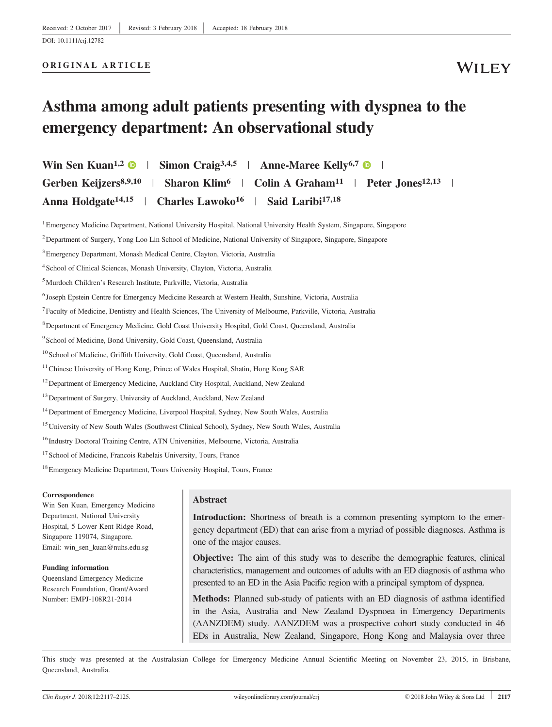# ORIGINAL ARTICLE

# **WILEY**

# Asthma among adult patients presenting with dyspnea to the emergency department: An observational study

|                                                                                              |  | Win Sen Kuan <sup>1,2</sup> • Simon Craig <sup>3,4,5</sup>   Anne-Maree Kelly <sup>6,7</sup> •                             |  |
|----------------------------------------------------------------------------------------------|--|----------------------------------------------------------------------------------------------------------------------------|--|
|                                                                                              |  | Gerben Keijzers <sup>8,9,10</sup>   Sharon Klim <sup>6</sup>   Colin A Graham <sup>11</sup>   Peter Jones <sup>12,13</sup> |  |
| Anna Holdgate <sup>14,15</sup>   Charles Lawoko <sup>16</sup>   Said Laribi <sup>17,18</sup> |  |                                                                                                                            |  |

<sup>1</sup> Emergency Medicine Department, National University Hospital, National University Health System, Singapore, Singapore

<sup>2</sup> Department of Surgery, Yong Loo Lin School of Medicine, National University of Singapore, Singapore, Singapore

<sup>3</sup> Emergency Department, Monash Medical Centre, Clayton, Victoria, Australia

6 Joseph Epstein Centre for Emergency Medicine Research at Western Health, Sunshine, Victoria, Australia

<sup>7</sup> Faculty of Medicine, Dentistry and Health Sciences, The University of Melbourne, Parkville, Victoria, Australia

<sup>8</sup> Department of Emergency Medicine, Gold Coast University Hospital, Gold Coast, Queensland, Australia

<sup>9</sup> School of Medicine, Bond University, Gold Coast, Queensland, Australia

<sup>10</sup> School of Medicine, Griffith University, Gold Coast, Queensland, Australia

<sup>11</sup> Chinese University of Hong Kong, Prince of Wales Hospital, Shatin, Hong Kong SAR

<sup>12</sup> Department of Emergency Medicine, Auckland City Hospital, Auckland, New Zealand

<sup>13</sup> Department of Surgery, University of Auckland, Auckland, New Zealand

<sup>14</sup> Department of Emergency Medicine, Liverpool Hospital, Sydney, New South Wales, Australia

<sup>15</sup> University of New South Wales (Southwest Clinical School), Sydney, New South Wales, Australia

<sup>16</sup> Industry Doctoral Training Centre, ATN Universities, Melbourne, Victoria, Australia

<sup>17</sup> School of Medicine, Francois Rabelais University, Tours, France

<sup>18</sup> Emergency Medicine Department, Tours University Hospital, Tours, France

#### Correspondence

Win Sen Kuan, Emergency Medicine Department, National University Hospital, 5 Lower Kent Ridge Road, Singapore 119074, Singapore. Email: win\_sen\_kuan@nuhs.edu.sg

Funding information Queensland Emergency Medicine Research Foundation, Grant/Award Number: EMPJ-108R21-2014

### Abstract

Introduction: Shortness of breath is a common presenting symptom to the emergency department (ED) that can arise from a myriad of possible diagnoses. Asthma is one of the major causes.

Objective: The aim of this study was to describe the demographic features, clinical characteristics, management and outcomes of adults with an ED diagnosis of asthma who presented to an ED in the Asia Pacific region with a principal symptom of dyspnea.

Methods: Planned sub-study of patients with an ED diagnosis of asthma identified in the Asia, Australia and New Zealand Dyspnoea in Emergency Departments (AANZDEM) study. AANZDEM was a prospective cohort study conducted in 46 EDs in Australia, New Zealand, Singapore, Hong Kong and Malaysia over three

This study was presented at the Australasian College for Emergency Medicine Annual Scientific Meeting on November 23, 2015, in Brisbane, Queensland, Australia.

<sup>4</sup> School of Clinical Sciences, Monash University, Clayton, Victoria, Australia

<sup>5</sup> Murdoch Children's Research Institute, Parkville, Victoria, Australia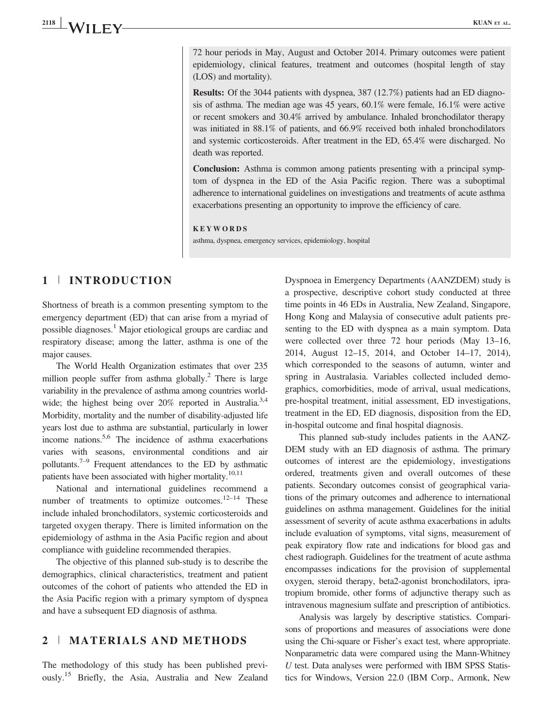72 hour periods in May, August and October 2014. Primary outcomes were patient epidemiology, clinical features, treatment and outcomes (hospital length of stay (LOS) and mortality).

Results: Of the 3044 patients with dyspnea, 387 (12.7%) patients had an ED diagnosis of asthma. The median age was 45 years, 60.1% were female, 16.1% were active or recent smokers and 30.4% arrived by ambulance. Inhaled bronchodilator therapy was initiated in 88.1% of patients, and 66.9% received both inhaled bronchodilators and systemic corticosteroids. After treatment in the ED, 65.4% were discharged. No death was reported.

Conclusion: Asthma is common among patients presenting with a principal symptom of dyspnea in the ED of the Asia Pacific region. There was a suboptimal adherence to international guidelines on investigations and treatments of acute asthma exacerbations presenting an opportunity to improve the efficiency of care.

#### **KEYWORDS**

asthma, dyspnea, emergency services, epidemiology, hospital

# 1 <sup>|</sup> INTRODUCTION

Shortness of breath is a common presenting symptom to the emergency department (ED) that can arise from a myriad of possible diagnoses.<sup>1</sup> Major etiological groups are cardiac and respiratory disease; among the latter, asthma is one of the major causes.

The World Health Organization estimates that over 235 million people suffer from asthma globally.<sup>2</sup> There is large variability in the prevalence of asthma among countries worldwide; the highest being over 20% reported in Australia.<sup>3,4</sup> Morbidity, mortality and the number of disability-adjusted life years lost due to asthma are substantial, particularly in lower income nations.<sup>5,6</sup> The incidence of asthma exacerbations varies with seasons, environmental conditions and air pollutants.<sup>7–9</sup> Frequent attendances to the ED by asthmatic patients have been associated with higher mortality.<sup>10,11</sup>

National and international guidelines recommend a number of treatments to optimize outcomes.<sup>12–14</sup> These include inhaled bronchodilators, systemic corticosteroids and targeted oxygen therapy. There is limited information on the epidemiology of asthma in the Asia Pacific region and about compliance with guideline recommended therapies.

The objective of this planned sub-study is to describe the demographics, clinical characteristics, treatment and patient outcomes of the cohort of patients who attended the ED in the Asia Pacific region with a primary symptom of dyspnea and have a subsequent ED diagnosis of asthma.

# 2 <sup>|</sup> MATERIALS AND METHODS

The methodology of this study has been published previously.15 Briefly, the Asia, Australia and New Zealand Dyspnoea in Emergency Departments (AANZDEM) study is a prospective, descriptive cohort study conducted at three time points in 46 EDs in Australia, New Zealand, Singapore, Hong Kong and Malaysia of consecutive adult patients presenting to the ED with dyspnea as a main symptom. Data were collected over three 72 hour periods (May 13–16, 2014, August 12–15, 2014, and October 14–17, 2014), which corresponded to the seasons of autumn, winter and spring in Australasia. Variables collected included demographics, comorbidities, mode of arrival, usual medications, pre-hospital treatment, initial assessment, ED investigations, treatment in the ED, ED diagnosis, disposition from the ED, in-hospital outcome and final hospital diagnosis.

This planned sub-study includes patients in the AANZ-DEM study with an ED diagnosis of asthma. The primary outcomes of interest are the epidemiology, investigations ordered, treatments given and overall outcomes of these patients. Secondary outcomes consist of geographical variations of the primary outcomes and adherence to international guidelines on asthma management. Guidelines for the initial assessment of severity of acute asthma exacerbations in adults include evaluation of symptoms, vital signs, measurement of peak expiratory flow rate and indications for blood gas and chest radiograph. Guidelines for the treatment of acute asthma encompasses indications for the provision of supplemental oxygen, steroid therapy, beta2-agonist bronchodilators, ipratropium bromide, other forms of adjunctive therapy such as intravenous magnesium sulfate and prescription of antibiotics.

Analysis was largely by descriptive statistics. Comparisons of proportions and measures of associations were done using the Chi-square or Fisher's exact test, where appropriate. Nonparametric data were compared using the Mann-Whitney  $U$  test. Data analyses were performed with IBM SPSS Statistics for Windows, Version 22.0 (IBM Corp., Armonk, New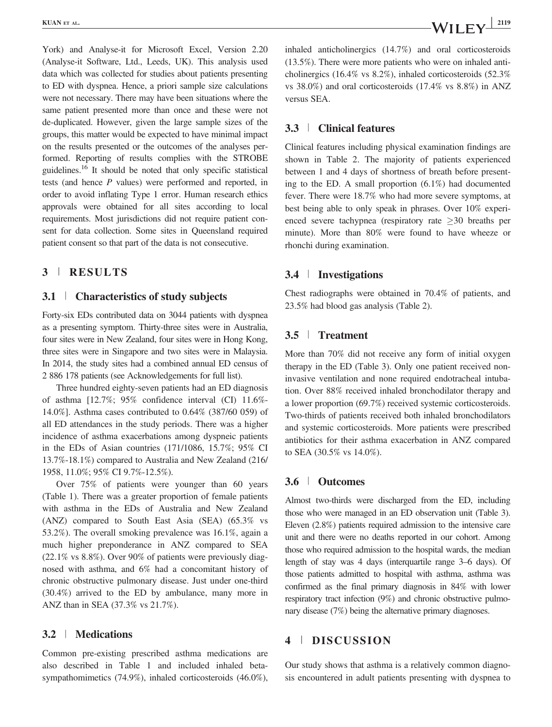York) and Analyse-it for Microsoft Excel, Version 2.20 (Analyse-it Software, Ltd., Leeds, UK). This analysis used data which was collected for studies about patients presenting to ED with dyspnea. Hence, a priori sample size calculations were not necessary. There may have been situations where the same patient presented more than once and these were not de-duplicated. However, given the large sample sizes of the groups, this matter would be expected to have minimal impact on the results presented or the outcomes of the analyses performed. Reporting of results complies with the STROBE guidelines.<sup>16</sup> It should be noted that only specific statistical tests (and hence  $P$  values) were performed and reported, in order to avoid inflating Type 1 error. Human research ethics approvals were obtained for all sites according to local requirements. Most jurisdictions did not require patient consent for data collection. Some sites in Queensland required patient consent so that part of the data is not consecutive.

# 3 <sup>|</sup> RESULTS

### 3.1 <sup>|</sup> Characteristics of study subjects

Forty-six EDs contributed data on 3044 patients with dyspnea as a presenting symptom. Thirty-three sites were in Australia, four sites were in New Zealand, four sites were in Hong Kong, three sites were in Singapore and two sites were in Malaysia. In 2014, the study sites had a combined annual ED census of 2 886 178 patients (see Acknowledgements for full list).

Three hundred eighty-seven patients had an ED diagnosis of asthma [12.7%; 95% confidence interval (CI) 11.6%- 14.0%]. Asthma cases contributed to 0.64% (387/60 059) of all ED attendances in the study periods. There was a higher incidence of asthma exacerbations among dyspneic patients in the EDs of Asian countries (171/1086, 15.7%; 95% CI 13.7%-18.1%) compared to Australia and New Zealand (216/ 1958, 11.0%; 95% CI 9.7%-12.5%).

Over 75% of patients were younger than 60 years (Table 1). There was a greater proportion of female patients with asthma in the EDs of Australia and New Zealand (ANZ) compared to South East Asia (SEA) (65.3% vs 53.2%). The overall smoking prevalence was 16.1%, again a much higher preponderance in ANZ compared to SEA (22.1% vs 8.8%). Over 90% of patients were previously diagnosed with asthma, and 6% had a concomitant history of chronic obstructive pulmonary disease. Just under one-third (30.4%) arrived to the ED by ambulance, many more in ANZ than in SEA (37.3% vs 21.7%).

#### 3.2 <sup>|</sup> Medications

Common pre-existing prescribed asthma medications are also described in Table 1 and included inhaled betasympathomimetics (74.9%), inhaled corticosteroids (46.0%),

inhaled anticholinergics (14.7%) and oral corticosteroids (13.5%). There were more patients who were on inhaled anticholinergics (16.4% vs 8.2%), inhaled corticosteroids (52.3% vs 38.0%) and oral corticosteroids (17.4% vs 8.8%) in ANZ versus SEA.

## 3.3 <sup>|</sup> Clinical features

Clinical features including physical examination findings are shown in Table 2. The majority of patients experienced between 1 and 4 days of shortness of breath before presenting to the ED. A small proportion (6.1%) had documented fever. There were 18.7% who had more severe symptoms, at best being able to only speak in phrases. Over 10% experienced severe tachypnea (respiratory rate > 30 breaths per minute). More than 80% were found to have wheeze or rhonchi during examination.

### 3.4 <sup>|</sup> Investigations

Chest radiographs were obtained in 70.4% of patients, and 23.5% had blood gas analysis (Table 2).

# 3.5 <sup>|</sup> Treatment

More than 70% did not receive any form of initial oxygen therapy in the ED (Table 3). Only one patient received noninvasive ventilation and none required endotracheal intubation. Over 88% received inhaled bronchodilator therapy and a lower proportion (69.7%) received systemic corticosteroids. Two-thirds of patients received both inhaled bronchodilators and systemic corticosteroids. More patients were prescribed antibiotics for their asthma exacerbation in ANZ compared to SEA (30.5% vs 14.0%).

#### 3.6 <sup>|</sup> Outcomes

Almost two-thirds were discharged from the ED, including those who were managed in an ED observation unit (Table 3). Eleven (2.8%) patients required admission to the intensive care unit and there were no deaths reported in our cohort. Among those who required admission to the hospital wards, the median length of stay was 4 days (interquartile range 3–6 days). Of those patients admitted to hospital with asthma, asthma was confirmed as the final primary diagnosis in 84% with lower respiratory tract infection (9%) and chronic obstructive pulmonary disease (7%) being the alternative primary diagnoses.

# 4 <sup>|</sup> DISCUSSION

Our study shows that asthma is a relatively common diagnosis encountered in adult patients presenting with dyspnea to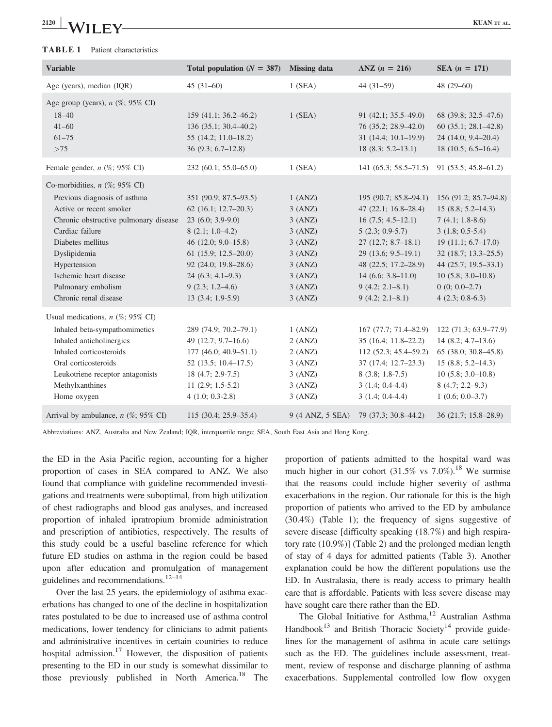# $\frac{2120 \text{ }}{\text{WII}}$  if  $\text{FV}$  and the contract of the contract of the contract of the contract of the contract of the contract of the contract of the contract of the contract of the contract of the contract of the contr

| <b>Variable</b>                                                                                                                                                                                                                                                                      | Total population $(N = 387)$ Missing data                                                                                                                                                                                              |                                                                                                            | $ANZ (n = 216)$                                                                                                                                                                                                                    | SEA $(n = 171)$                                                                                                                                                                                                                  |
|--------------------------------------------------------------------------------------------------------------------------------------------------------------------------------------------------------------------------------------------------------------------------------------|----------------------------------------------------------------------------------------------------------------------------------------------------------------------------------------------------------------------------------------|------------------------------------------------------------------------------------------------------------|------------------------------------------------------------------------------------------------------------------------------------------------------------------------------------------------------------------------------------|----------------------------------------------------------------------------------------------------------------------------------------------------------------------------------------------------------------------------------|
| Age (years), median (IQR)                                                                                                                                                                                                                                                            | $45(31-60)$                                                                                                                                                                                                                            | $1$ (SEA)                                                                                                  | $44(31-59)$                                                                                                                                                                                                                        | 48 $(29-60)$                                                                                                                                                                                                                     |
| Age group (years), $n$ (%; 95% CI)<br>$18 - 40$<br>$41 - 60$<br>$61 - 75$<br>>75                                                                                                                                                                                                     | $159(41.1; 36.2 - 46.2)$<br>$136(35.1; 30.4 - 40.2)$<br>55 (14.2; 11.0-18.2)<br>$36(9.3; 6.7-12.8)$                                                                                                                                    | $1$ (SEA)                                                                                                  | 91 $(42.1; 35.5-49.0)$<br>76 (35.2; 28.9–42.0)<br>31(14.4; 10.1–19.9)<br>$18(8.3; 5.2-13.1)$                                                                                                                                       | 68 (39.8; 32.5–47.6)<br>$60$ (35.1; 28.1–42.8)<br>24 (14.0; 9.4–20.4)<br>$18(10.5; 6.5-16.4)$                                                                                                                                    |
| Female gender, $n$ (%; 95% CI)                                                                                                                                                                                                                                                       | $232(60.1; 55.0 - 65.0)$                                                                                                                                                                                                               | $1$ (SEA)                                                                                                  | $141 (65.3; 58.5 - 71.5)$                                                                                                                                                                                                          | $91(53.5; 45.8 - 61.2)$                                                                                                                                                                                                          |
| Co-morbidities, $n$ (%; 95% CI)<br>Previous diagnosis of asthma<br>Active or recent smoker<br>Chronic obstructive pulmonary disease<br>Cardiac failure<br>Diabetes mellitus<br>Dyslipidemia<br>Hypertension<br>Ischemic heart disease<br>Pulmonary embolism<br>Chronic renal disease | 351 (90.9; 87.5–93.5)<br>$62$ (16.1; 12.7–20.3)<br>$23(6.0; 3.9-9.0)$<br>$8(2.1; 1.0-4.2)$<br>$46$ (12.0; 9.0–15.8)<br>$61$ (15.9; 12.5–20.0)<br>92 (24.0; 19.8-28.6)<br>$24(6.3; 4.1-9.3)$<br>$9(2.3; 1.2-4.6)$<br>$13(3.4; 1.9-5.9)$ | 1 (ANZ)<br>3 (ANZ)<br>3 (ANZ)<br>3 (ANZ)<br>3 (ANZ)<br>3 (ANZ)<br>3 (ANZ)<br>3 (ANZ)<br>3 (ANZ)<br>3 (ANZ) | 195 (90.7; 85.8–94.1)<br>$47(22.1; 16.8-28.4)$<br>$16$ (7.5; 4.5–12.1)<br>$5(2.3; 0.9-5.7)$<br>27(12.7; 8.7–18.1)<br>$29(13.6; 9.5-19.1)$<br>48 (22.5; 17.2-28.9)<br>$14(6.6; 3.8-11.0)$<br>$9(4.2; 2.1-8.1)$<br>$9(4.2; 2.1-8.1)$ | 156 (91.2; 85.7–94.8)<br>$15(8.8; 5.2 - 14.3)$<br>$7(4.1; 1.8-8.6)$<br>$3(1.8; 0.5-5.4)$<br>$19(11.1; 6.7-17.0)$<br>32 (18.7; 13.3-25.5)<br>44 (25.7; 19.5-33.1)<br>$10(5.8; 3.0-10.8)$<br>$0(0; 0.0-2.7)$<br>$4$ (2.3; 0.8-6.3) |
| Usual medications, $n$ (%; 95% CI)<br>Inhaled beta-sympathomimetics<br>Inhaled anticholinergics<br>Inhaled corticosteroids<br>Oral corticosteroids<br>Leukotriene receptor antagonists<br>Methylxanthines<br>Home oxygen                                                             | 289 (74.9; 70.2–79.1)<br>49 $(12.7; 9.7-16.6)$<br>$177(46.0; 40.9 - 51.1)$<br>$52$ (13.5; 10.4-17.5)<br>$18$ (4.7; 2.9-7.5)<br>$11(2.9; 1.5-5.2)$<br>$4(1.0; 0.3-2.8)$                                                                 | 1 (ANZ)<br>2 (ANZ)<br>2 (ANZ)<br>3 (ANZ)<br>$3$ (ANZ)<br>3 (ANZ)<br>3 (ANZ)                                | 167 (77.7; 71.4–82.9)<br>35 (16.4; 11.8–22.2)<br>112(52.3; 45.4–59.2)<br>37 (17.4; 12.7-23.3)<br>$8$ $(3.8; 1.8-7.5)$<br>$3(1.4; 0.4-4.4)$<br>$3(1.4; 0.4-4.4)$                                                                    | $122(71.3; 63.9 - 77.9)$<br>$14(8.2; 4.7-13.6)$<br>$65$ (38.0; 30.8–45.8)<br>$15(8.8; 5.2-14.3)$<br>$10(5.8; 3.0-10.8)$<br>$8(4.7; 2.2 - 9.3)$<br>$1(0.6; 0.0-3.7)$                                                              |
| Arrival by ambulance, $n$ (%; 95% CI)                                                                                                                                                                                                                                                | 115 (30.4; 25.9–35.4)                                                                                                                                                                                                                  | 9 (4 ANZ, 5 SEA)                                                                                           | 79 (37.3; 30.8–44.2)                                                                                                                                                                                                               | 36 (21.7; 15.8–28.9)                                                                                                                                                                                                             |

Abbreviations: ANZ, Australia and New Zealand; IQR, interquartile range; SEA, South East Asia and Hong Kong.

the ED in the Asia Pacific region, accounting for a higher proportion of cases in SEA compared to ANZ. We also found that compliance with guideline recommended investigations and treatments were suboptimal, from high utilization of chest radiographs and blood gas analyses, and increased proportion of inhaled ipratropium bromide administration and prescription of antibiotics, respectively. The results of this study could be a useful baseline reference for which future ED studies on asthma in the region could be based upon after education and promulgation of management guidelines and recommendations. $12-14$ 

Over the last 25 years, the epidemiology of asthma exacerbations has changed to one of the decline in hospitalization rates postulated to be due to increased use of asthma control medications, lower tendency for clinicians to admit patients and administrative incentives in certain countries to reduce hospital admission.<sup>17</sup> However, the disposition of patients presenting to the ED in our study is somewhat dissimilar to those previously published in North America.<sup>18</sup> The proportion of patients admitted to the hospital ward was much higher in our cohort  $(31.5\% \text{ vs } 7.0\%).$ <sup>18</sup> We surmise that the reasons could include higher severity of asthma exacerbations in the region. Our rationale for this is the high proportion of patients who arrived to the ED by ambulance (30.4%) (Table 1); the frequency of signs suggestive of severe disease [difficulty speaking (18.7%) and high respiratory rate (10.9%)] (Table 2) and the prolonged median length of stay of 4 days for admitted patients (Table 3). Another explanation could be how the different populations use the ED. In Australasia, there is ready access to primary health care that is affordable. Patients with less severe disease may have sought care there rather than the ED.

The Global Initiative for Asthma,<sup>12</sup> Australian Asthma Handbook<sup>13</sup> and British Thoracic Society<sup>14</sup> provide guidelines for the management of asthma in acute care settings such as the ED. The guidelines include assessment, treatment, review of response and discharge planning of asthma exacerbations. Supplemental controlled low flow oxygen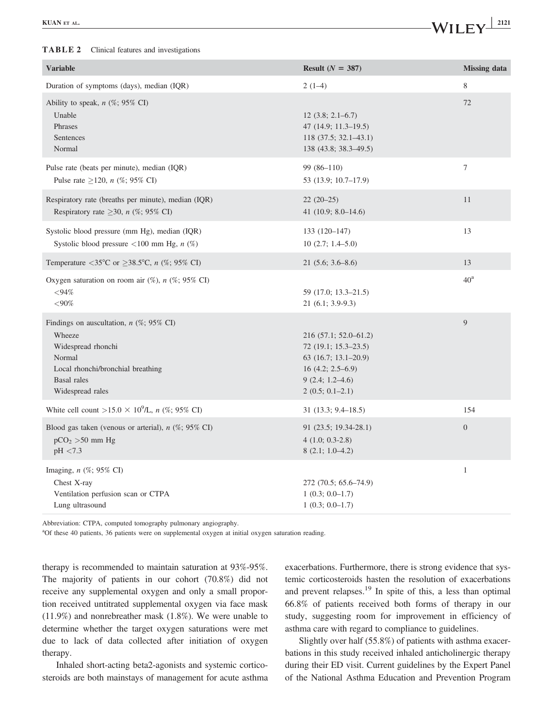#### TABLE 2 Clinical features and investigations

| <b>Variable</b>                                                                                                                                             | Result ( $N = 387$ )                                                                                                                     | <b>Missing data</b> |
|-------------------------------------------------------------------------------------------------------------------------------------------------------------|------------------------------------------------------------------------------------------------------------------------------------------|---------------------|
| Duration of symptoms (days), median (IQR)                                                                                                                   | $2(1-4)$                                                                                                                                 | 8                   |
| Ability to speak, $n$ (%; 95% CI)<br>Unable<br>Phrases<br>Sentences<br>Normal                                                                               | $12$ $(3.8; 2.1 - 6.7)$<br>47 (14.9; 11.3-19.5)<br>118 (37.5; 32.1-43.1)<br>138 (43.8; 38.3-49.5)                                        | 72                  |
| Pulse rate (beats per minute), median (IQR)<br>Pulse rate $\geq$ 120, <i>n</i> (%; 95% CI)                                                                  | 99 (86-110)<br>53 (13.9; 10.7-17.9)                                                                                                      | $\tau$              |
| Respiratory rate (breaths per minute), median (IQR)<br>Respiratory rate > 30, <i>n</i> (%; 95% CI)                                                          | $22(20-25)$<br>41 $(10.9; 8.0-14.6)$                                                                                                     | 11                  |
| Systolic blood pressure (mm Hg), median (IQR)<br>Systolic blood pressure <100 mm Hg, $n$ (%)                                                                | 133 (120-147)<br>$10(2.7; 1.4-5.0)$                                                                                                      | 13                  |
| Temperature <35°C or $\geq$ 38.5°C, <i>n</i> (%; 95% CI)                                                                                                    | 21(5.6; 3.6–8.6)                                                                                                                         | 13                  |
| Oxygen saturation on room air $(\%)$ , <i>n</i> $(\%$ ; 95% CI)<br>$<$ 94%<br>$<90\%$                                                                       | 59 (17.0; 13.3–21.5)<br>$21(6.1; 3.9-9.3)$                                                                                               | 40 <sup>a</sup>     |
| Findings on auscultation, $n$ (%; 95% CI)<br>Wheeze<br>Widespread rhonchi<br>Normal<br>Local rhonchi/bronchial breathing<br>Basal rales<br>Widespread rales | 216 (57.1; 52.0–61.2)<br>72 (19.1; 15.3-23.5)<br>63 (16.7; 13.1-20.9)<br>$16$ (4.2; 2.5–6.9)<br>$9(2.4; 1.2 - 4.6)$<br>$2(0.5; 0.1-2.1)$ | 9                   |
| White cell count >15.0 $\times$ 10 <sup>9</sup> /L, <i>n</i> (%; 95% CI)                                                                                    | $31$ (13.3; 9.4–18.5)                                                                                                                    | 154                 |
| Blood gas taken (venous or arterial), $n$ (%; 95% CI)<br>$pCO2 > 50$ mm Hg<br>pH <7.3                                                                       | 91 (23.5; 19.34-28.1)<br>$4(1.0; 0.3-2.8)$<br>$8(2.1; 1.0-4.2)$                                                                          | $\boldsymbol{0}$    |
| Imaging, $n$ (%; 95% CI)<br>Chest X-ray<br>Ventilation perfusion scan or CTPA<br>Lung ultrasound                                                            | 272 (70.5; 65.6-74.9)<br>$1(0.3; 0.0-1.7)$<br>$1(0.3; 0.0-1.7)$                                                                          | $\mathbf{1}$        |

Abbreviation: CTPA, computed tomography pulmonary angiography.

<sup>a</sup>Of these 40 patients, 36 patients were on supplemental oxygen at initial oxygen saturation reading.

therapy is recommended to maintain saturation at 93%-95%. The majority of patients in our cohort (70.8%) did not receive any supplemental oxygen and only a small proportion received untitrated supplemental oxygen via face mask (11.9%) and nonrebreather mask (1.8%). We were unable to determine whether the target oxygen saturations were met due to lack of data collected after initiation of oxygen therapy.

Inhaled short-acting beta2-agonists and systemic corticosteroids are both mainstays of management for acute asthma exacerbations. Furthermore, there is strong evidence that systemic corticosteroids hasten the resolution of exacerbations and prevent relapses.<sup>19</sup> In spite of this, a less than optimal 66.8% of patients received both forms of therapy in our study, suggesting room for improvement in efficiency of asthma care with regard to compliance to guidelines.

Slightly over half (55.8%) of patients with asthma exacerbations in this study received inhaled anticholinergic therapy during their ED visit. Current guidelines by the Expert Panel of the National Asthma Education and Prevention Program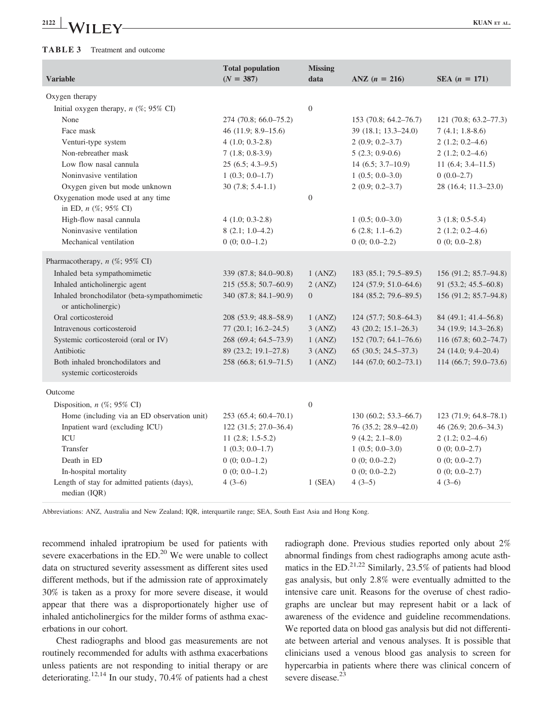# $\frac{2122 \text{ }}{\text{WII}}$  if  $\text{FV}$  and the contract of the contract of the contract of the contract of the contract of the contract of the contract of the contract of the contract of the contract of the contract of the contr

#### TABLE 3 Treatment and outcome

| <b>Variable</b>                                                     | <b>Total population</b><br>$(N = 387)$ | <b>Missing</b><br>data | $ANZ (n = 216)$           | SEA $(n = 171)$       |
|---------------------------------------------------------------------|----------------------------------------|------------------------|---------------------------|-----------------------|
| Oxygen therapy                                                      |                                        |                        |                           |                       |
| Initial oxygen therapy, $n$ (%; 95% CI)                             |                                        | $\theta$               |                           |                       |
| None                                                                | 274 (70.8; 66.0–75.2)                  |                        | $153(70.8; 64.2 - 76.7)$  | 121 (70.8; 63.2–77.3) |
| Face mask                                                           | 46 (11.9; 8.9-15.6)                    |                        | 39 (18.1; 13.3-24.0)      | $7(4.1; 1.8-8.6)$     |
| Venturi-type system                                                 | $4(1.0; 0.3-2.8)$                      |                        | $2(0.9; 0.2 - 3.7)$       | 2(1.2; 0.2–4.6)       |
| Non-rebreather mask                                                 | $7(1.8; 0.8-3.9)$                      |                        | $5(2.3; 0.9-0.6)$         | $2(1.2; 0.2 - 4.6)$   |
| Low flow nasal cannula                                              | $25(6.5; 4.3-9.5)$                     |                        | $14(6.5; 3.7-10.9)$       | 11(6.4; 3.4–11.5)     |
| Noninvasive ventilation                                             | $1(0.3; 0.0-1.7)$                      |                        | $1(0.5; 0.0-3.0)$         | $0(0.0-2.7)$          |
| Oxygen given but mode unknown                                       | $30(7.8; 5.4-1.1)$                     |                        | $2(0.9; 0.2 - 3.7)$       | 28 (16.4; 11.3-23.0)  |
| Oxygenation mode used at any time                                   |                                        | $\boldsymbol{0}$       |                           |                       |
| in ED, n (%; 95% CI)                                                |                                        |                        |                           |                       |
| High-flow nasal cannula                                             | $4(1.0; 0.3-2.8)$                      |                        | $1(0.5; 0.0-3.0)$         | $3(1.8; 0.5-5.4)$     |
| Noninvasive ventilation                                             | $8(2.1; 1.0-4.2)$                      |                        | $6(2.8; 1.1-6.2)$         | 2(1.2; 0.2–4.6)       |
| Mechanical ventilation                                              | $0(0; 0.0-1.2)$                        |                        | $0(0; 0.0-2.2)$           | $0(0; 0.0-2.8)$       |
| Pharmacotherapy, n (%; 95% CI)                                      |                                        |                        |                           |                       |
| Inhaled beta sympathomimetic                                        | 339 (87.8; 84.0–90.8)                  | 1 (ANZ)                | 183 (85.1; 79.5–89.5)     | 156 (91.2; 85.7–94.8) |
| Inhaled anticholinergic agent                                       | 215(55.8; 50.7–60.9)                   | 2 (ANZ)                | $124(57.9; 51.0 - 64.6)$  | $91(53.2; 45.5-60.8)$ |
| Inhaled bronchodilator (beta-sympathomimetic<br>or anticholinergic) | 340 (87.8; 84.1-90.9)                  | $\overline{0}$         | 184 (85.2; 79.6–89.5)     | 156 (91.2; 85.7–94.8) |
| Oral corticosteroid                                                 | 208 (53.9; 48.8–58.9)                  | 1 (ANZ)                | $124(57.7; 50.8 - 64.3)$  | 84 (49.1; 41.4–56.8)  |
| Intravenous corticosteroid                                          | $77(20.1; 16.2-24.5)$                  | 3 (ANZ)                | 43 (20.2; $15.1 - 26.3$ ) | 34 (19.9; 14.3-26.8)  |
| Systemic corticosteroid (oral or IV)                                | 268 (69.4; 64.5-73.9)                  | 1 (ANZ)                | 152 (70.7; 64.1-76.6)     | 116(67.8; 60.2–74.7)  |
| Antibiotic                                                          | 89 (23.2; 19.1–27.8)                   | $3$ (ANZ)              | $65$ (30.5; 24.5–37.3)    | $24(14.0; 9.4-20.4)$  |
| Both inhaled bronchodilators and                                    | 258 (66.8; 61.9–71.5)                  | 1 (ANZ)                | $144(67.0; 60.2-73.1)$    | 114 (66.7; 59.0–73.6) |
| systemic corticosteroids                                            |                                        |                        |                           |                       |
| Outcome                                                             |                                        |                        |                           |                       |
| Disposition, $n$ (%; 95% CI)                                        |                                        | $\mathbf{0}$           |                           |                       |
| Home (including via an ED observation unit)                         | 253 (65.4; 60.4–70.1)                  |                        | $130(60.2; 53.3 - 66.7)$  | 123 (71.9; 64.8–78.1) |
| Inpatient ward (excluding ICU)                                      | $122$ (31.5; 27.0–36.4)                |                        | 76 (35.2; 28.9–42.0)      | 46 (26.9; 20.6–34.3)  |
| ICU                                                                 | $11(2.8; 1.5-5.2)$                     |                        | $9(4.2; 2.1 - 8.0)$       | $2(1.2; 0.2 - 4.6)$   |
| Transfer                                                            | $1(0.3; 0.0-1.7)$                      |                        | $1(0.5; 0.0-3.0)$         | $0(0; 0.0-2.7)$       |
| Death in ED                                                         | $0(0; 0.0-1.2)$                        |                        | $0(0; 0.0-2.2)$           | $0(0; 0.0-2.7)$       |
| In-hospital mortality                                               | $0(0; 0.0-1.2)$                        |                        | $0(0; 0.0-2.2)$           | $0(0; 0.0-2.7)$       |
| Length of stay for admitted patients (days),<br>median (IQR)        | $4(3-6)$                               | $1$ (SEA)              | $4(3-5)$                  | $4(3-6)$              |

Abbreviations: ANZ, Australia and New Zealand; IQR, interquartile range; SEA, South East Asia and Hong Kong.

recommend inhaled ipratropium be used for patients with severe exacerbations in the  $ED<sup>20</sup>$  We were unable to collect data on structured severity assessment as different sites used different methods, but if the admission rate of approximately 30% is taken as a proxy for more severe disease, it would appear that there was a disproportionately higher use of inhaled anticholinergics for the milder forms of asthma exacerbations in our cohort.

Chest radiographs and blood gas measurements are not routinely recommended for adults with asthma exacerbations unless patients are not responding to initial therapy or are deteriorating.<sup>12,14</sup> In our study, 70.4% of patients had a chest radiograph done. Previous studies reported only about 2% abnormal findings from chest radiographs among acute asthmatics in the  $ED.^{21,22}$  Similarly, 23.5% of patients had blood gas analysis, but only 2.8% were eventually admitted to the intensive care unit. Reasons for the overuse of chest radiographs are unclear but may represent habit or a lack of awareness of the evidence and guideline recommendations. We reported data on blood gas analysis but did not differentiate between arterial and venous analyses. It is possible that clinicians used a venous blood gas analysis to screen for hypercarbia in patients where there was clinical concern of severe disease.<sup>23</sup>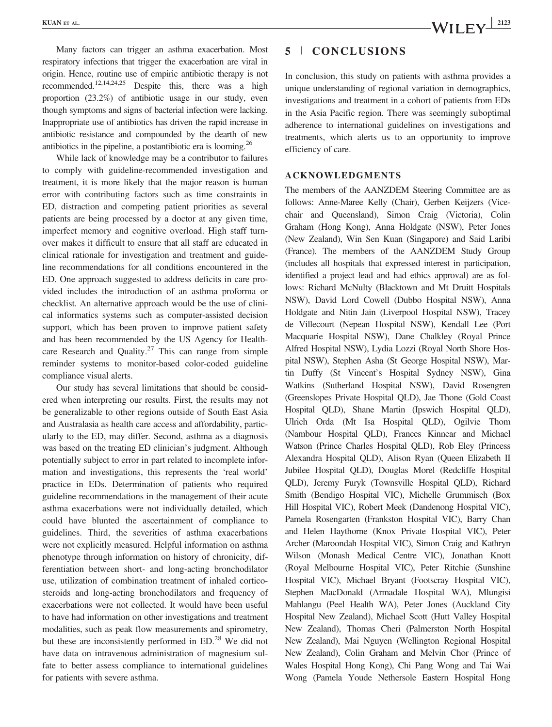Many factors can trigger an asthma exacerbation. Most respiratory infections that trigger the exacerbation are viral in origin. Hence, routine use of empiric antibiotic therapy is not recommended.<sup>12,14,24,25</sup> Despite this, there was a high proportion (23.2%) of antibiotic usage in our study, even though symptoms and signs of bacterial infection were lacking. Inappropriate use of antibiotics has driven the rapid increase in antibiotic resistance and compounded by the dearth of new antibiotics in the pipeline, a postantibiotic era is looming.<sup>26</sup>

While lack of knowledge may be a contributor to failures to comply with guideline-recommended investigation and treatment, it is more likely that the major reason is human error with contributing factors such as time constraints in ED, distraction and competing patient priorities as several patients are being processed by a doctor at any given time, imperfect memory and cognitive overload. High staff turnover makes it difficult to ensure that all staff are educated in clinical rationale for investigation and treatment and guideline recommendations for all conditions encountered in the ED. One approach suggested to address deficits in care provided includes the introduction of an asthma proforma or checklist. An alternative approach would be the use of clinical informatics systems such as computer-assisted decision support, which has been proven to improve patient safety and has been recommended by the US Agency for Healthcare Research and Quality.<sup>27</sup> This can range from simple reminder systems to monitor-based color-coded guideline compliance visual alerts.

Our study has several limitations that should be considered when interpreting our results. First, the results may not be generalizable to other regions outside of South East Asia and Australasia as health care access and affordability, particularly to the ED, may differ. Second, asthma as a diagnosis was based on the treating ED clinician's judgment. Although potentially subject to error in part related to incomplete information and investigations, this represents the 'real world' practice in EDs. Determination of patients who required guideline recommendations in the management of their acute asthma exacerbations were not individually detailed, which could have blunted the ascertainment of compliance to guidelines. Third, the severities of asthma exacerbations were not explicitly measured. Helpful information on asthma phenotype through information on history of chronicity, differentiation between short- and long-acting bronchodilator use, utilization of combination treatment of inhaled corticosteroids and long-acting bronchodilators and frequency of exacerbations were not collected. It would have been useful to have had information on other investigations and treatment modalities, such as peak flow measurements and spirometry, but these are inconsistently performed in ED.<sup>28</sup> We did not have data on intravenous administration of magnesium sulfate to better assess compliance to international guidelines for patients with severe asthma.

# 5 <sup>|</sup> CONCLUSIONS

In conclusion, this study on patients with asthma provides a unique understanding of regional variation in demographics, investigations and treatment in a cohort of patients from EDs in the Asia Pacific region. There was seemingly suboptimal adherence to international guidelines on investigations and treatments, which alerts us to an opportunity to improve efficiency of care.

#### ACKNOWLEDGMENTS

The members of the AANZDEM Steering Committee are as follows: Anne-Maree Kelly (Chair), Gerben Keijzers (Vicechair and Queensland), Simon Craig (Victoria), Colin Graham (Hong Kong), Anna Holdgate (NSW), Peter Jones (New Zealand), Win Sen Kuan (Singapore) and Said Laribi (France). The members of the AANZDEM Study Group (includes all hospitals that expressed interest in participation, identified a project lead and had ethics approval) are as follows: Richard McNulty (Blacktown and Mt Druitt Hospitals NSW), David Lord Cowell (Dubbo Hospital NSW), Anna Holdgate and Nitin Jain (Liverpool Hospital NSW), Tracey de Villecourt (Nepean Hospital NSW), Kendall Lee (Port Macquarie Hospital NSW), Dane Chalkley (Royal Prince Alfred Hospital NSW), Lydia Lozzi (Royal North Shore Hospital NSW), Stephen Asha (St George Hospital NSW), Martin Duffy (St Vincent's Hospital Sydney NSW), Gina Watkins (Sutherland Hospital NSW), David Rosengren (Greenslopes Private Hospital QLD), Jae Thone (Gold Coast Hospital QLD), Shane Martin (Ipswich Hospital QLD), Ulrich Orda (Mt Isa Hospital QLD), Ogilvie Thom (Nambour Hospital QLD), Frances Kinnear and Michael Watson (Prince Charles Hospital QLD), Rob Eley (Princess Alexandra Hospital QLD), Alison Ryan (Queen Elizabeth II Jubilee Hospital QLD), Douglas Morel (Redcliffe Hospital QLD), Jeremy Furyk (Townsville Hospital QLD), Richard Smith (Bendigo Hospital VIC), Michelle Grummisch (Box Hill Hospital VIC), Robert Meek (Dandenong Hospital VIC), Pamela Rosengarten (Frankston Hospital VIC), Barry Chan and Helen Haythorne (Knox Private Hospital VIC), Peter Archer (Maroondah Hospital VIC), Simon Craig and Kathryn Wilson (Monash Medical Centre VIC), Jonathan Knott (Royal Melbourne Hospital VIC), Peter Ritchie (Sunshine Hospital VIC), Michael Bryant (Footscray Hospital VIC), Stephen MacDonald (Armadale Hospital WA), Mlungisi Mahlangu (Peel Health WA), Peter Jones (Auckland City Hospital New Zealand), Michael Scott (Hutt Valley Hospital New Zealand), Thomas Cheri (Palmerston North Hospital New Zealand), Mai Nguyen (Wellington Regional Hospital New Zealand), Colin Graham and Melvin Chor (Prince of Wales Hospital Hong Kong), Chi Pang Wong and Tai Wai Wong (Pamela Youde Nethersole Eastern Hospital Hong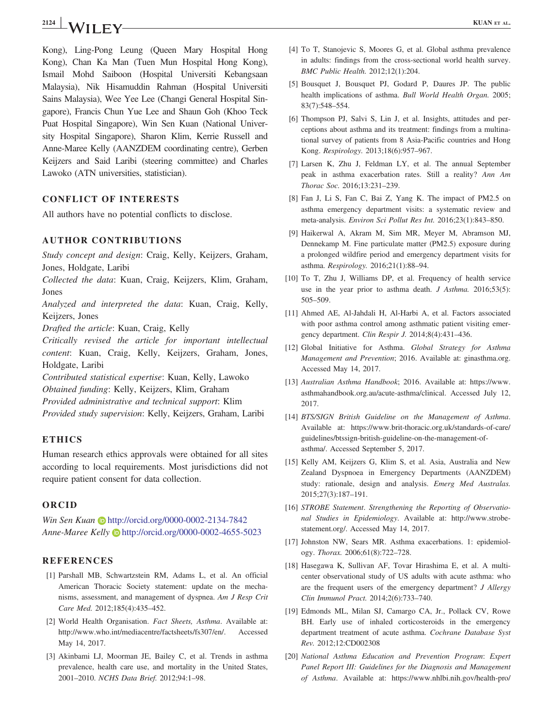# $2124$   $\bigcup$   $\bigwedge$   $\bigwedge$   $\biguparrow$   $\biguparrow$   $\bigvee$   $\bigvee$   $\bigvee$   $\bigvee$   $\bigvee$   $\bigvee$   $\bigvee$   $\bigvee$   $\bigvee$   $\bigvee$   $\bigvee$   $\bigvee$   $\bigvee$   $\bigvee$   $\bigvee$   $\bigvee$   $\bigvee$   $\bigvee$   $\bigvee$   $\bigvee$   $\bigvee$   $\bigvee$   $\bigvee$   $\bigvee$   $\bigvee$   $\bigvee$

Kong), Ling-Pong Leung (Queen Mary Hospital Hong Kong), Chan Ka Man (Tuen Mun Hospital Hong Kong), Ismail Mohd Saiboon (Hospital Universiti Kebangsaan Malaysia), Nik Hisamuddin Rahman (Hospital Universiti Sains Malaysia), Wee Yee Lee (Changi General Hospital Singapore), Francis Chun Yue Lee and Shaun Goh (Khoo Teck Puat Hospital Singapore), Win Sen Kuan (National University Hospital Singapore), Sharon Klim, Kerrie Russell and Anne-Maree Kelly (AANZDEM coordinating centre), Gerben Keijzers and Said Laribi (steering committee) and Charles Lawoko (ATN universities, statistician).

#### CONFLICT OF INTERESTS

All authors have no potential conflicts to disclose.

#### AUTHOR CONTRIBUTIONS

Study concept and design: Craig, Kelly, Keijzers, Graham, Jones, Holdgate, Laribi

Collected the data: Kuan, Craig, Keijzers, Klim, Graham, Jones

Analyzed and interpreted the data: Kuan, Craig, Kelly, Keijzers, Jones

Drafted the article: Kuan, Craig, Kelly

Critically revised the article for important intellectual content: Kuan, Craig, Kelly, Keijzers, Graham, Jones, Holdgate, Laribi

Contributed statistical expertise: Kuan, Kelly, Lawoko

Obtained funding: Kelly, Keijzers, Klim, Graham

Provided administrative and technical support: Klim

Provided study supervision: Kelly, Keijzers, Graham, Laribi

### **ETHICS**

Human research ethics approvals were obtained for all sites according to local requirements. Most jurisdictions did not require patient consent for data collection.

#### **ORCID**

Win Sen Kuan **b** <http://orcid.org/0000-0002-2134-7842> Anne-Maree Kelly **b** <http://orcid.org/0000-0002-4655-5023>

#### REFERENCES

- [1] Parshall MB, Schwartzstein RM, Adams L, et al. An official American Thoracic Society statement: update on the mechanisms, assessment, and management of dyspnea. Am J Resp Crit Care Med. 2012;185(4):435–452.
- [2] World Health Organisation. Fact Sheets, Asthma. Available at: [http://www.who.int/mediacentre/factsheets/fs307/en/.](http://www.who.int/mediacentre/factsheets/fs307/en/) Accessed May 14, 2017.
- [3] Akinbami LJ, Moorman JE, Bailey C, et al. Trends in asthma prevalence, health care use, and mortality in the United States, 2001–2010. NCHS Data Brief. 2012;94:1–98.
- [4] To T, Stanojevic S, Moores G, et al. Global asthma prevalence in adults: findings from the cross-sectional world health survey. BMC Public Health. 2012;12(1):204.
- [5] Bousquet J, Bousquet PJ, Godard P, Daures JP. The public health implications of asthma. Bull World Health Organ. 2005; 83(7):548–554.
- [6] Thompson PJ, Salvi S, Lin J, et al. Insights, attitudes and perceptions about asthma and its treatment: findings from a multinational survey of patients from 8 Asia-Pacific countries and Hong Kong. Respirology. 2013;18(6):957–967.
- [7] Larsen K, Zhu J, Feldman LY, et al. The annual September peak in asthma exacerbation rates. Still a reality? Ann Am Thorac Soc. 2016;13:231–239.
- [8] Fan J, Li S, Fan C, Bai Z, Yang K. The impact of PM2.5 on asthma emergency department visits: a systematic review and meta-analysis. Environ Sci Pollut Res Int. 2016;23(1):843–850.
- [9] Haikerwal A, Akram M, Sim MR, Meyer M, Abramson MJ, Dennekamp M. Fine particulate matter (PM2.5) exposure during a prolonged wildfire period and emergency department visits for asthma. Respirology. 2016;21(1):88–94.
- [10] To T, Zhu J, Williams DP, et al. Frequency of health service use in the year prior to asthma death. *J Asthma*. 2016;53(5): 505–509.
- [11] Ahmed AE, Al-Jahdali H, Al-Harbi A, et al. Factors associated with poor asthma control among asthmatic patient visiting emergency department. Clin Respir J. 2014;8(4):431–436.
- [12] Global Initiative for Asthma. Global Strategy for Asthma Management and Prevention; 2016. Available at: ginasthma.org. Accessed May 14, 2017.
- [13] Australian Asthma Handbook; 2016. Available at: [https://www.](https://www.asthmahandbook.org.au/acute-asthma/clinical) [asthmahandbook.org.au/acute-asthma/clinical](https://www.asthmahandbook.org.au/acute-asthma/clinical). Accessed July 12, 2017.
- [14] BTS/SIGN British Guideline on the Management of Asthma. Available at: [https://www.brit-thoracic.org.uk/standards-of-care/](https://www.brit-thoracic.org.uk/standards-of-care/guidelines/btssign-british-guideline-on-the-management-of-asthma/) [guidelines/btssign-british-guideline-on-the-management-of](https://www.brit-thoracic.org.uk/standards-of-care/guidelines/btssign-british-guideline-on-the-management-of-asthma/)[asthma/](https://www.brit-thoracic.org.uk/standards-of-care/guidelines/btssign-british-guideline-on-the-management-of-asthma/). Accessed September 5, 2017.
- [15] Kelly AM, Keijzers G, Klim S, et al. Asia, Australia and New Zealand Dyspnoea in Emergency Departments (AANZDEM) study: rationale, design and analysis. Emerg Med Australas. 2015;27(3):187–191.
- [16] STROBE Statement. Strengthening the Reporting of Observational Studies in Epidemiology. Available at: [http://www.strobe](http://www.strobe-statement.org/)[statement.org/.](http://www.strobe-statement.org/) Accessed May 14, 2017.
- [17] Johnston NW, Sears MR. Asthma exacerbations. 1: epidemiology. Thorax. 2006;61(8):722–728.
- [18] Hasegawa K, Sullivan AF, Tovar Hirashima E, et al. A multicenter observational study of US adults with acute asthma: who are the frequent users of the emergency department? J Allergy Clin Immunol Pract. 2014;2(6):733–740.
- [19] Edmonds ML, Milan SJ, Camargo CA, Jr., Pollack CV, Rowe BH. Early use of inhaled corticosteroids in the emergency department treatment of acute asthma. Cochrane Database Syst Rev. 2012;12:CD002308
- [20] National Asthma Education and Prevention Program: Expert Panel Report III: Guidelines for the Diagnosis and Management of Asthma. Available at: [https://www.nhlbi.nih.gov/health-pro/](https://www.nhlbi.nih.gov/health-pro/guidelines/current/asthma-guidelines/full-report)